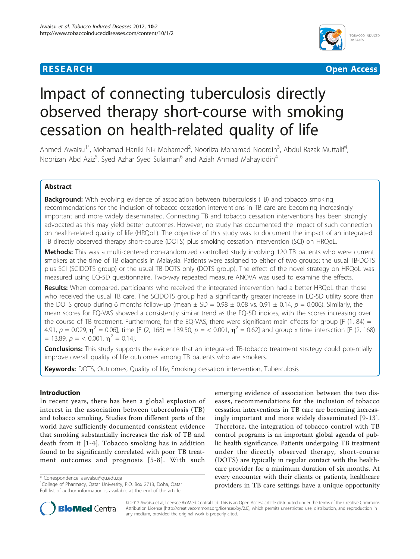



# Impact of connecting tuberculosis directly observed therapy short-course with smoking cessation on health-related quality of life

Ahmed Awaisu<sup>1\*</sup>, Mohamad Haniki Nik Mohamed<sup>2</sup>, Noorliza Mohamad Noordin<sup>3</sup>, Abdul Razak Muttalif<sup>4</sup> , Noorizan Abd Aziz<sup>5</sup>, Syed Azhar Syed Sulaiman<sup>6</sup> and Aziah Ahmad Mahayiddin<sup>4</sup>

# Abstract

**Background:** With evolving evidence of association between tuberculosis (TB) and tobacco smoking, recommendations for the inclusion of tobacco cessation interventions in TB care are becoming increasingly important and more widely disseminated. Connecting TB and tobacco cessation interventions has been strongly advocated as this may yield better outcomes. However, no study has documented the impact of such connection on health-related quality of life (HRQoL). The objective of this study was to document the impact of an integrated TB directly observed therapy short-course (DOTS) plus smoking cessation intervention (SCI) on HRQoL.

Methods: This was a multi-centered non-randomized controlled study involving 120 TB patients who were current smokers at the time of TB diagnosis in Malaysia. Patients were assigned to either of two groups: the usual TB-DOTS plus SCI (SCIDOTS group) or the usual TB-DOTS only (DOTS group). The effect of the novel strategy on HRQoL was measured using EQ-5D questionnaire. Two-way repeated measure ANOVA was used to examine the effects.

Results: When compared, participants who received the integrated intervention had a better HRQoL than those who received the usual TB care. The SCIDOTS group had a significantly greater increase in EQ-5D utility score than the DOTS group during 6 months follow-up (mean  $\pm$  SD = 0.98  $\pm$  0.08 vs. 0.91  $\pm$  0.14, p = 0.006). Similarly, the mean scores for EQ-VAS showed a consistently similar trend as the EQ-5D indices, with the scores increasing over the course of TB treatment. Furthermore, for the EQ-VAS, there were significant main effects for group [F (1, 84) = 4.91,  $p = 0.029$ ,  $\eta^2 = 0.06$ , time [F (2, 168) = 139.50,  $p = 0.001$ ,  $\eta^2 = 0.62$ ] and group x time interaction [F (2, 168)  $= 13.89, p = 6.001, n^2 = 0.14$ .

Conclusions: This study supports the evidence that an integrated TB-tobacco treatment strategy could potentially improve overall quality of life outcomes among TB patients who are smokers.

Keywords: DOTS, Outcomes, Quality of life, Smoking cessation intervention, Tuberculosis

# Introduction

In recent years, there has been a global explosion of interest in the association between tuberculosis (TB) and tobacco smoking. Studies from different parts of the world have sufficiently documented consistent evidence that smoking substantially increases the risk of TB and death from it [[1-4\]](#page-7-0). Tobacco smoking has in addition found to be significantly correlated with poor TB treatment outcomes and prognosis [[5-8\]](#page-7-0). With such

\* Correspondence: [aawaisu@qu.edu.qa](mailto:aawaisu@qu.edu.qa)

<sup>1</sup>College of Pharmacy, Qatar University, P.O. Box 2713, Doha, Qatar Full list of author information is available at the end of the article

emerging evidence of association between the two diseases, recommendations for the inclusion of tobacco cessation interventions in TB care are becoming increasingly important and more widely disseminated [[9](#page-7-0)-[13](#page-7-0)]. Therefore, the integration of tobacco control with TB control programs is an important global agenda of public health significance. Patients undergoing TB treatment under the directly observed therapy, short-course (DOTS) are typically in regular contact with the healthcare provider for a minimum duration of six months. At every encounter with their clients or patients, healthcare providers in TB care settings have a unique opportunity



© 2012 Awaisu et al; licensee BioMed Central Ltd. This is an Open Access article distributed under the terms of the Creative Commons Attribution License [\(http://creativecommons.org/licenses/by/2.0](http://creativecommons.org/licenses/by/2.0)), which permits unrestricted use, distribution, and reproduction in any medium, provided the original work is properly cited.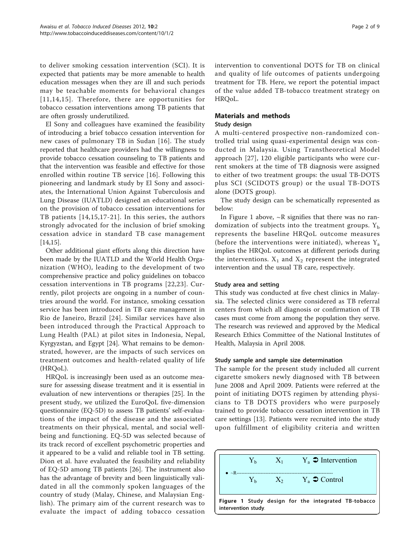to deliver smoking cessation intervention (SCI). It is expected that patients may be more amenable to health education messages when they are ill and such periods may be teachable moments for behavioral changes [[11](#page-7-0),[14](#page-7-0),[15\]](#page-7-0). Therefore, there are opportunities for tobacco cessation interventions among TB patients that are often grossly underutilized.

El Sony and colleagues have examined the feasibility of introducing a brief tobacco cessation intervention for new cases of pulmonary TB in Sudan [\[16\]](#page-7-0). The study reported that healthcare providers had the willingness to provide tobacco cessation counseling to TB patients and that the intervention was feasible and effective for those enrolled within routine TB service [[16](#page-7-0)]. Following this pioneering and landmark study by El Sony and associates, the International Union Against Tuberculosis and Lung Disease (IUATLD) designed an educational series on the provision of tobacco cessation interventions for TB patients [[14](#page-7-0),[15](#page-7-0),[17](#page-7-0)-[21\]](#page-7-0). In this series, the authors strongly advocated for the inclusion of brief smoking cessation advice in standard TB case management [[14,15\]](#page-7-0).

Other additional giant efforts along this direction have been made by the IUATLD and the World Health Organization (WHO), leading to the development of two comprehensive practice and policy guidelines on tobacco cessation interventions in TB programs [[22](#page-8-0),[23\]](#page-8-0). Currently, pilot projects are ongoing in a number of countries around the world. For instance, smoking cessation service has been introduced in TB care management in Rio de Janeiro, Brazil [[24](#page-8-0)]. Similar services have also been introduced through the Practical Approach to Lung Health (PAL) at pilot sites in Indonesia, Nepal, Kyrgyzstan, and Egypt [\[24](#page-8-0)]. What remains to be demonstrated, however, are the impacts of such services on treatment outcomes and health-related quality of life (HRQoL).

HRQoL is increasingly been used as an outcome measure for assessing disease treatment and it is essential in evaluation of new interventions or therapies [[25\]](#page-8-0). In the present study, we utilized the EuroQoL five-dimension questionnaire (EQ-5D) to assess TB patients' self-evaluations of the impact of the disease and the associated treatments on their physical, mental, and social wellbeing and functioning. EQ-5D was selected because of its track record of excellent psychometric properties and it appeared to be a valid and reliable tool in TB setting. Dion et al. have evaluated the feasibility and reliability of EQ-5D among TB patients [[26](#page-8-0)]. The instrument also has the advantage of brevity and been linguistically validated in all the commonly spoken languages of the country of study (Malay, Chinese, and Malaysian English). The primary aim of the current research was to evaluate the impact of adding tobacco cessation intervention to conventional DOTS for TB on clinical and quality of life outcomes of patients undergoing treatment for TB. Here, we report the potential impact of the value added TB-tobacco treatment strategy on HRQoL.

# Materials and methods Study design

A multi-centered prospective non-randomized controlled trial using quasi-experimental design was conducted in Malaysia. Using Transtheoretical Model approach [[27\]](#page-8-0), 120 eligible participants who were current smokers at the time of TB diagnosis were assigned to either of two treatment groups: the usual TB-DOTS plus SCI (SCIDOTS group) or the usual TB-DOTS alone (DOTS group).

The study design can be schematically represented as below:

In Figure 1 above,  $\sim$ R signifies that there was no randomization of subjects into the treatment groups.  $Y_b$ represents the baseline HRQoL outcome measures (before the interventions were initiated), whereas  $Y_a$ implies the HRQoL outcomes at different periods during the interventions.  $X_1$  and  $X_2$  represent the integrated intervention and the usual TB care, respectively.

# Study area and setting

This study was conducted at five chest clinics in Malaysia. The selected clinics were considered as TB referral centers from which all diagnosis or confirmation of TB cases must come from among the population they serve. The research was reviewed and approved by the Medical Research Ethics Committee of the National Institutes of Health, Malaysia in April 2008.

# Study sample and sample size determination

The sample for the present study included all current cigarette smokers newly diagnosed with TB between June 2008 and April 2009. Patients were referred at the point of initiating DOTS regimen by attending physicians to TB DOTS providers who were purposely trained to provide tobacco cessation intervention in TB care settings [[13\]](#page-7-0). Patients were recruited into the study upon fulfillment of eligibility criteria and written

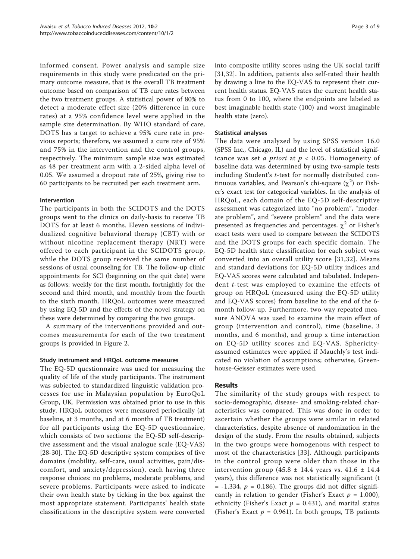informed consent. Power analysis and sample size requirements in this study were predicated on the primary outcome measure, that is the overall TB treatment outcome based on comparison of TB cure rates between the two treatment groups. A statistical power of 80% to detect a moderate effect size (20% difference in cure rates) at a 95% confidence level were applied in the sample size determination. By WHO standard of care, DOTS has a target to achieve a 95% cure rate in previous reports; therefore, we assumed a cure rate of 95% and 75% in the intervention and the control groups, respectively. The minimum sample size was estimated as 48 per treatment arm with a 2-sided alpha level of 0.05. We assumed a dropout rate of 25%, giving rise to 60 participants to be recruited per each treatment arm.

### Intervention

The participants in both the SCIDOTS and the DOTS groups went to the clinics on daily-basis to receive TB DOTS for at least 6 months. Eleven sessions of individualized cognitive behavioral therapy (CBT) with or without nicotine replacement therapy (NRT) were offered to each participant in the SCIDOTS group, while the DOTS group received the same number of sessions of usual counseling for TB. The follow-up clinic appointments for SCI (beginning on the quit date) were as follows: weekly for the first month, fortnightly for the second and third month, and monthly from the fourth to the sixth month. HRQoL outcomes were measured by using EQ-5D and the effects of the novel strategy on these were determined by comparing the two groups.

A summary of the interventions provided and outcomes measurements for each of the two treatment groups is provided in Figure [2](#page-3-0).

### Study instrument and HRQoL outcome measures

The EQ-5D questionnaire was used for measuring the quality of life of the study participants. The instrument was subjected to standardized linguistic validation processes for use in Malaysian population by EuroQoL Group, UK. Permission was obtained prior to use in this study. HRQoL outcomes were measured periodically (at baseline, at 3 months, and at 6 months of TB treatment) for all participants using the EQ-5D questionnaire, which consists of two sections: the EQ-5D self-descriptive assessment and the visual analogue scale (EQ-VAS) [[28-30\]](#page-8-0). The EQ-5D descriptive system comprises of five domains (mobility, self-care, usual activities, pain/discomfort, and anxiety/depression), each having three response choices: no problems, moderate problems, and severe problems. Participants were asked to indicate their own health state by ticking in the box against the most appropriate statement. Participants' health state classifications in the descriptive system were converted into composite utility scores using the UK social tariff [[31,32](#page-8-0)]. In addition, patients also self-rated their health by drawing a line to the EQ-VAS to represent their current health status. EQ-VAS rates the current health status from 0 to 100, where the endpoints are labeled as best imaginable health state (100) and worst imaginable health state (zero).

# Statistical analyses

The data were analyzed by using SPSS version 16.0 (SPSS Inc., Chicago, IL) and the level of statistical significance was set *a priori* at  $p < 0.05$ . Homogeneity of baseline data was determined by using two-sample tests including Student's t-test for normally distributed continuous variables, and Pearson's chi-square  $(\chi^2)$  or Fisher's exact test for categorical variables. In the analysis of HRQoL, each domain of the EQ-5D self-descriptive assessment was categorized into "no problem", "moderate problem", and "severe problem" and the data were presented as frequencies and percentages.  $\chi^2$  or Fisher's exact tests were used to compare between the SCIDOTS and the DOTS groups for each specific domain. The EQ-5D health state classification for each subject was converted into an overall utility score [[31](#page-8-0),[32](#page-8-0)]. Means and standard deviations for EQ-5D utility indices and EQ-VAS scores were calculated and tabulated. Independent t-test was employed to examine the effects of group on HRQoL (measured using the EQ-5D utility and EQ-VAS scores) from baseline to the end of the 6 month follow-up. Furthermore, two-way repeated measure ANOVA was used to examine the main effect of group (intervention and control), time (baseline, 3 months, and 6 months), and group x time interaction on EQ-5D utility scores and EQ-VAS. Sphericityassumed estimates were applied if Mauchly's test indicated no violation of assumptions; otherwise, Greenhouse-Geisser estimates were used.

# Results

The similarity of the study groups with respect to socio-demographic, disease- and smoking-related characteristics was compared. This was done in order to ascertain whether the groups were similar in related characteristics, despite absence of randomization in the design of the study. From the results obtained, subjects in the two groups were homogenous with respect to most of the characteristics [[33\]](#page-8-0). Although participants in the control group were older than those in the intervention group (45.8  $\pm$  14.4 years vs. 41.6  $\pm$  14.4 years), this difference was not statistically significant (t  $= -1.334$ ,  $p = 0.186$ ). The groups did not differ significantly in relation to gender (Fisher's Exact  $p = 1.000$ ), ethnicity (Fisher's Exact  $p = 0.431$ ), and marital status (Fisher's Exact  $p = 0.961$ ). In both groups, TB patients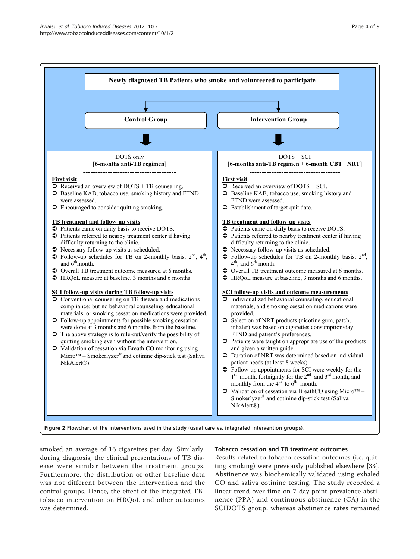<span id="page-3-0"></span>

smoked an average of 16 cigarettes per day. Similarly, during diagnosis, the clinical presentations of TB disease were similar between the treatment groups. Furthermore, the distribution of other baseline data was not different between the intervention and the control groups. Hence, the effect of the integrated TBtobacco intervention on HRQoL and other outcomes was determined.

# Tobacco cessation and TB treatment outcomes

Results related to tobacco cessation outcomes (i.e. quitting smoking) were previously published elsewhere [\[33](#page-8-0)]. Abstinence was biochemically validated using exhaled CO and saliva cotinine testing. The study recorded a linear trend over time on 7-day point prevalence abstinence (PPA) and continuous abstinence (CA) in the SCIDOTS group, whereas abstinence rates remained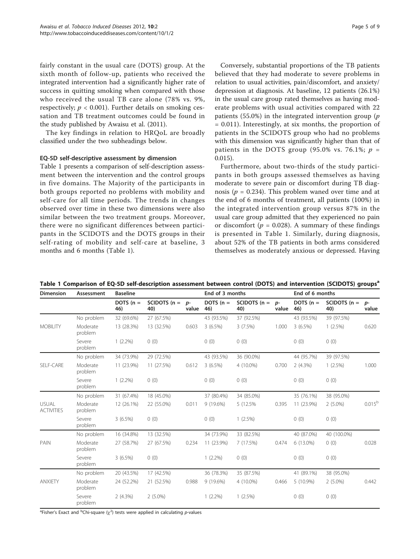fairly constant in the usual care (DOTS) group. At the sixth month of follow-up, patients who received the integrated intervention had a significantly higher rate of success in quitting smoking when compared with those who received the usual TB care alone (78% vs. 9%, respectively;  $p < 0.001$ ). Further details on smoking ces-

the study published by Awaisu et al. (2011). The key findings in relation to HRQoL are broadly classified under the two subheadings below.

sation and TB treatment outcomes could be found in

#### EQ-5D self-descriptive assessment by dimension

Table 1 presents a comparison of self-description assessment between the intervention and the control groups in five domains. The Majority of the participants in both groups reported no problems with mobility and self-care for all time periods. The trends in changes observed over time in these two dimensions were also similar between the two treatment groups. Moreover, there were no significant differences between participants in the SCIDOTS and the DOTS groups in their self-rating of mobility and self-care at baseline, 3 months and 6 months (Table 1).

Conversely, substantial proportions of the TB patients believed that they had moderate to severe problems in relation to usual activities, pain/discomfort, and anxiety/ depression at diagnosis. At baseline, 12 patients (26.1%) in the usual care group rated themselves as having moderate problems with usual activities compared with 22 patients (55.0%) in the integrated intervention group ( $p$ = 0.011). Interestingly, at six months, the proportion of patients in the SCIDOTS group who had no problems with this dimension was significantly higher than that of patients in the DOTS group (95.0% vs. 76.1%;  $p =$ 0.015).

Furthermore, about two-thirds of the study participants in both groups assessed themselves as having moderate to severe pain or discomfort during TB diagnosis ( $p = 0.234$ ). This problem waned over time and at the end of 6 months of treatment, all patients (100%) in the integrated intervention group versus 87% in the usual care group admitted that they experienced no pain or discomfort ( $p = 0.028$ ). A summary of these findings is presented in Table 1. Similarly, during diagnosis, about 52% of the TB patients in both arms considered themselves as moderately anxious or depressed. Having

| <b>Dimension</b>                  | Assessment          | <b>Baseline</b>    |                           |       | End of 3 months    |                       |               | End of 6 months    |                           |                 |
|-----------------------------------|---------------------|--------------------|---------------------------|-------|--------------------|-----------------------|---------------|--------------------|---------------------------|-----------------|
|                                   |                     | DOTS $(n =$<br>46) | SCIDOTS $(n = p -$<br>40) | value | DOTS $(n =$<br>46) | SCIDOTS $(n =$<br>40) | $p-$<br>value | DOTS $(n =$<br>46) | SCIDOTS $(n = p$ -<br>40) | value           |
|                                   | No problem          | 32 (69.6%)         | 27 (67.5%)                |       | 43 (93.5%)         | 37 (92.5%)            |               | 43 (93.5%)         | 39 (97.5%)                |                 |
| <b>MOBILITY</b>                   | Moderate<br>problem | 13 (28.3%)         | 13 (32.5%)                | 0.603 | $3(6.5\%)$         | 3(7.5%)               | 1.000         | $3(6.5\%)$         | $1(2.5\%)$                | 0.620           |
|                                   | Severe<br>problem   | $1(2.2\%)$         | 0(0)                      |       | 0(0)               | 0(0)                  |               | 0(0)               | 0(0)                      |                 |
|                                   | No problem          | 34 (73.9%)         | 29 (72.5%)                |       | 43 (93.5%)         | 36 (90.0%)            |               | 44 (95.7%)         | 39 (97.5%)                |                 |
| SELF-CARE                         | Moderate<br>problem | 11 (23.9%)         | 11 (27.5%)                | 0.612 | $3(6.5\%)$         | 4 (10.0%)             | 0.700         | 2(4.3%)            | $1(2.5\%)$                | 1.000           |
|                                   | Severe<br>problem   | $1(2.2\%)$         | 0(0)                      |       | 0(0)               | 0(0)                  |               | 0(0)               | 0(0)                      |                 |
|                                   | No problem          | 31 (67.4%)         | 18 (45.0%)                |       | 37 (80.4%)         | 34 (85.0%)            |               | 35 (76.1%)         | 38 (95.0%)                |                 |
| <b>USUAL</b><br><b>ACTIVITIES</b> | Moderate<br>problem | 12 (26.1%)         | 22 (55.0%)                | 0.011 | 9 (19.6%)          | 5 (12.5%)             | 0.395         | 11 (23.9%)         | $2(5.0\%)$                | $0.015^{\rm b}$ |
|                                   | Severe<br>problem   | $3(6.5\%)$         | 0(0)                      |       | 0(0)               | $1(2.5\%)$            |               | 0(0)               | 0(0)                      |                 |
|                                   | No problem          | 16 (34.8%)         | 13 (32.5%)                |       | 34 (73.9%)         | 33 (82.5%)            |               | 40 (87.0%)         | 40 (100.0%)               |                 |
| <b>PAIN</b>                       | Moderate<br>problem | 27 (58.7%)         | 27 (67.5%)                | 0.234 | 11 (23.9%)         | 7(17.5%)              | 0.474         | 6 (13.0%)          | 0(0)                      | 0.028           |
|                                   | Severe<br>problem   | $3(6.5\%)$         | 0(0)                      |       | $1(2.2\%)$         | 0(0)                  |               | 0(0)               | 0(0)                      |                 |
|                                   | No problem          | 20 (43.5%)         | 17 (42.5%)                |       | 36 (78.3%)         | 35 (87.5%)            |               | 41 (89.1%)         | 38 (95.0%)                |                 |
| <b>ANXIETY</b>                    | Moderate<br>problem | 24 (52.2%)         | 21 (52.5%)                | 0.988 | 9(19.6%)           | 4 (10.0%)             | 0.466         | $5(10.9\%)$        | $2(5.0\%)$                | 0.442           |
|                                   | Severe<br>problem   | $2(4.3\%)$         | $2(5.0\%)$                |       | $1(2.2\%)$         | 1(2.5%)               |               | 0(0)               | 0(0)                      |                 |

Table 1 Comparison of EQ-5D self-description assessment between control (DOTS) and intervention (SCIDOTS) groups<sup>a</sup>

<sup>a</sup>Fisher's Exact and <sup>b</sup>Chi-square ( $\chi^2$ ) tests were applied in calculating p-values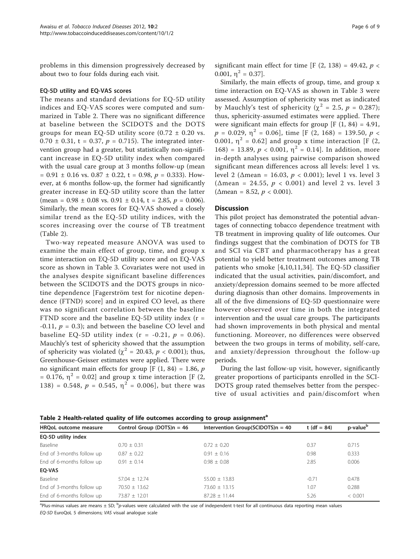problems in this dimension progressively decreased by about two to four folds during each visit.

#### EQ-5D utility and EQ-VAS scores

The means and standard deviations for EQ-5D utility indices and EQ-VAS scores were computed and summarized in Table 2. There was no significant difference at baseline between the SCIDOTS and the DOTS groups for mean EQ-5D utility score  $(0.72 \pm 0.20 \text{ vs.})$ 0.70  $\pm$  0.31, t = 0.37, p = 0.715). The integrated intervention group had a greater, but statistically non-significant increase in EQ-5D utility index when compared with the usual care group at 3 months follow-up (mean  $= 0.91 \pm 0.16$  vs.  $0.87 \pm 0.22$ ,  $t = 0.98$ ,  $p = 0.333$ ). However, at 6 months follow-up, the former had significantly greater increase in EQ-5D utility score than the latter (mean =  $0.98 \pm 0.08$  vs.  $0.91 \pm 0.14$ , t = 2.85, p = 0.006). Similarly, the mean scores for EQ-VAS showed a closely similar trend as the EQ-5D utility indices, with the scores increasing over the course of TB treatment (Table 2).

Two-way repeated measure ANOVA was used to examine the main effect of group, time, and group x time interaction on EQ-5D utility score and on EQ-VAS score as shown in Table [3](#page-6-0). Covariates were not used in the analyses despite significant baseline differences between the SCIDOTS and the DOTS groups in nicotine dependence [Fagerström test for nicotine dependence (FTND) score] and in expired CO level, as there was no significant correlation between the baseline FTND score and the baseline EQ-5D utility index  $(r =$ -0.11,  $p = 0.3$ ); and between the baseline CO level and baseline EQ-5D utility index  $(r = -0.21, p = 0.06)$ . Mauchly's test of sphericity showed that the assumption of sphericity was violated ( $\chi^2$  = 20.43,  $p < 0.001$ ); thus, Greenhouse-Geisser estimates were applied. There were no significant main effects for group  $[F (1, 84) = 1.86, p]$ = 0.176,  $\eta^2$  = 0.02] and group x time interaction [F (2, 138) = 0.548,  $p = 0.545$ ,  $\eta^2 = 0.006$ , but there was significant main effect for time [F  $(2, 138) = 49.42$ ,  $p \lt \sqrt{ }$ 0.001,  $\eta^2 = 0.37$ ].

Similarly, the main effects of group, time, and group x time interaction on EQ-VAS as shown in Table [3](#page-6-0) were assessed. Assumption of sphericity was met as indicated by Mauchly's test of sphericity ( $\chi^2$  = 2.5, p = 0.287); thus, sphericity-assumed estimates were applied. There were significant main effects for group  $[F(1, 84) = 4.91]$ ,  $p = 0.029$ ,  $\eta^2 = 0.06$ , time [F (2, 168) = 139.50,  $p <$ 0.001,  $\eta^2$  = 0.62] and group x time interaction [F (2, 168) = 13.89,  $p < 0.001$ ,  $\eta^2 = 0.14$ . In addition, more in-depth analyses using pairwise comparison showed significant mean differences across all levels: level 1 vs. level 2 (Δmean = 16.03,  $p$  < 0.001); level 1 vs. level 3 ( $\Delta$ mean = 24.55,  $p < 0.001$ ) and level 2 vs. level 3  $(\Delta$ mean = 8.52,  $p < 0.001$ ).

#### **Discussion**

This pilot project has demonstrated the potential advantages of connecting tobacco dependence treatment with TB treatment in improving quality of life outcomes. Our findings suggest that the combination of DOTS for TB and SCI via CBT and pharmacotherapy has a great potential to yield better treatment outcomes among TB patients who smoke [[4,10,11](#page-7-0)[,34\]](#page-8-0). The EQ-5D classifier indicated that the usual activities, pain/discomfort, and anxiety/depression domains seemed to be more affected during diagnosis than other domains. Improvements in all of the five dimensions of EQ-5D questionnaire were however observed over time in both the integrated intervention and the usual care groups. The participants had shown improvements in both physical and mental functioning. Moreover, no differences were observed between the two groups in terms of mobility, self-care, and anxiety/depression throughout the follow-up periods.

During the last follow-up visit, however, significantly greater proportions of participants enrolled in the SCI-DOTS group rated themselves better from the perspective of usual activities and pain/discomfort when

| Table 2 Health-related quality of the outcomes according to group assignment |                               |                                      |                |                      |  |  |
|------------------------------------------------------------------------------|-------------------------------|--------------------------------------|----------------|----------------------|--|--|
| HRQoL outcome measure                                                        | Control Group (DOTS) $n = 46$ | Intervention Group(SCIDOTS) $n = 40$ | t (df = $84$ ) | p-value <sup>b</sup> |  |  |
| EQ-5D utility index                                                          |                               |                                      |                |                      |  |  |
| Baseline                                                                     | $0.70 \pm 0.31$               | $0.72 \pm 0.20$                      | 0.37           | 0.715                |  |  |
| End of 3-months follow up                                                    | $0.87 \pm 0.22$               | $0.91 \pm 0.16$                      | 0.98           | 0.333                |  |  |
| End of 6-months follow up                                                    | $0.91 + 0.14$                 | $0.98 + 0.08$                        | 2.85           | 0.006                |  |  |
| EO-VAS                                                                       |                               |                                      |                |                      |  |  |
| Baseline                                                                     | $57.04 \pm 12.74$             | $55.00 \pm 13.83$                    | $-0.71$        | 0.478                |  |  |
| End of 3-months follow up                                                    | $70.50 \pm 13.62$             | $73.60 \pm 13.15$                    | 1.07           | 0.288                |  |  |
| End of 6-months follow up                                                    | $73.87 + 12.01$               | $87.28 + 11.44$                      | 5.26           | < 0.001              |  |  |

Table 2 Health-related quality of life outcomes according to group assignment<sup>a</sup>

<sup>a</sup>Plus-minus values are means ± SD; <sup>b</sup>p-values were calculated with the use of independent t-test for all continuous data reporting mean values EQ-5D EuroQoL 5 dimensions; VAS visual analogue scale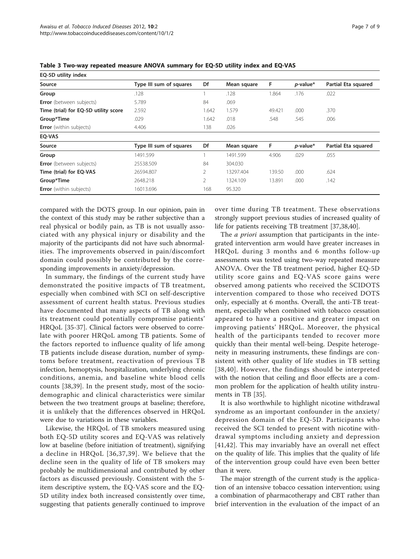| EQ-5D utility index                  |                         |                |             |        |                  |                     |
|--------------------------------------|-------------------------|----------------|-------------|--------|------------------|---------------------|
| Source                               | Type III sum of squares | Df             | Mean square | F      | <i>p</i> -value* | Partial Eta squared |
| Group                                | .128                    |                | .128        | .864   | .176             | .022                |
| <b>Error</b> (between subjects)      | 5.789                   | 84             | .069        |        |                  |                     |
| Time (trial) for EQ-5D utility score | 2.592                   | 1.642          | 1.579       | 49.421 | .000             | .370                |
| Group*Time                           | .029                    | 1.642          | .018        | .548   | .545             | .006                |
| <b>Error</b> (within subjects)       | 4.406                   | 138            | .026        |        |                  |                     |
| EQ-VAS                               |                         |                |             |        |                  |                     |
| Source                               | Type III sum of squares | Df             | Mean square | F      | $p$ -value*      | Partial Eta squared |
| Group                                | 1491.599                |                | 1491.599    | 4.906  | .029             | .055                |
| <b>Error</b> (between subjects)      | 25538.509               | 84             | 304.030     |        |                  |                     |
| Time (trial) for EQ-VAS              | 26594.807               | $\overline{2}$ | 13297.404   | 139.50 | .000             | .624                |
| Group*Time                           | 2648.218                | 2              | 1324.109    | 13.891 | .000             | .142                |
| <b>Error</b> (within subjects)       | 16013.696               | 168            | 95.320      |        |                  |                     |

<span id="page-6-0"></span>Table 3 Two-way repeated measure ANOVA summary for EQ-5D utility index and EQ-VAS

compared with the DOTS group. In our opinion, pain in the context of this study may be rather subjective than a real physical or bodily pain, as TB is not usually associated with any physical injury or disability and the majority of the participants did not have such abnormalities. The improvements observed in pain/discomfort domain could possibly be contributed by the corresponding improvements in anxiety/depression.

In summary, the findings of the current study have demonstrated the positive impacts of TB treatment, especially when combined with SCI on self-descriptive assessment of current health status. Previous studies have documented that many aspects of TB along with its treatment could potentially compromise patients' HRQoL [[35-37](#page-8-0)]. Clinical factors were observed to correlate with poorer HRQoL among TB patients. Some of the factors reported to influence quality of life among TB patients include disease duration, number of symptoms before treatment, reactivation of previous TB infection, hemoptysis, hospitalization, underlying chronic conditions, anemia, and baseline white blood cells counts [\[38,39](#page-8-0)]. In the present study, most of the sociodemographic and clinical characteristics were similar between the two treatment groups at baseline; therefore, it is unlikely that the differences observed in HRQoL were due to variations in these variables.

Likewise, the HRQoL of TB smokers measured using both EQ-5D utility scores and EQ-VAS was relatively low at baseline (before initiation of treatment), signifying a decline in HRQoL [[36](#page-8-0),[37,39\]](#page-8-0). We believe that the decline seen in the quality of life of TB smokers may probably be multidimensional and contributed by other factors as discussed previously. Consistent with the 5 item descriptive system, the EQ-VAS score and the EQ-5D utility index both increased consistently over time, suggesting that patients generally continued to improve over time during TB treatment. These observations strongly support previous studies of increased quality of life for patients receiving TB treatment [[37](#page-8-0),[38,40](#page-8-0)].

The *a priori* assumption that participants in the integrated intervention arm would have greater increases in HRQoL during 3 months and 6 months follow-up assessments was tested using two-way repeated measure ANOVA. Over the TB treatment period, higher EQ-5D utility score gains and EQ-VAS score gains were observed among patients who received the SCIDOTS intervention compared to those who received DOTS only, especially at 6 months. Overall, the anti-TB treatment, especially when combined with tobacco cessation appeared to have a positive and greater impact on improving patients' HRQoL. Moreover, the physical health of the participants tended to recover more quickly than their mental well-being. Despite heterogeneity in measuring instruments, these findings are consistent with other quality of life studies in TB setting [[38,40\]](#page-8-0). However, the findings should be interpreted with the notion that ceiling and floor effects are a common problem for the application of health utility instruments in TB [[35](#page-8-0)].

It is also worthwhile to highlight nicotine withdrawal syndrome as an important confounder in the anxiety/ depression domain of the EQ-5D. Participants who received the SCI tended to present with nicotine withdrawal symptoms including anxiety and depression [[41](#page-8-0),[42\]](#page-8-0). This may invariably have an overall net effect on the quality of life. This implies that the quality of life of the intervention group could have even been better than it were.

The major strength of the current study is the application of an intensive tobacco cessation intervention; using a combination of pharmacotherapy and CBT rather than brief intervention in the evaluation of the impact of an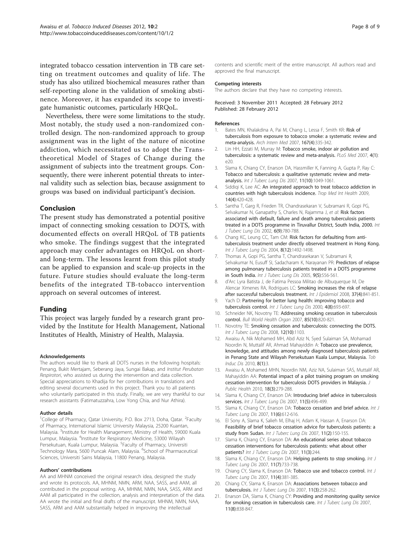<span id="page-7-0"></span>integrated tobacco cessation intervention in TB care setting on treatment outcomes and quality of life. The study has also utilized biochemical measures rather than self-reporting alone in the validation of smoking abstinence. Moreover, it has expanded its scope to investigate humanistic outcomes, particularly HRQoL.

Nevertheless, there were some limitations to the study. Most notably, the study used a non-randomized controlled design. The non-randomized approach to group assignment was in the light of the nature of nicotine addiction, which necessitated us to adopt the Transtheoretical Model of Stages of Change during the assignment of subjects into the treatment groups. Consequently, there were inherent potential threats to internal validity such as selection bias, because assignment to groups was based on individual participant's decision.

## Conclusion

The present study has demonstrated a potential positive impact of connecting smoking cessation to DOTS, with documented effects on overall HRQoL of TB patients who smoke. The findings suggest that the integrated approach may confer advantages on HRQoL on shortand long-term. The lessons learnt from this pilot study can be applied to expansion and scale-up projects in the future. Future studies should evaluate the long-term benefits of the integrated TB-tobacco intervention approach on several outcomes of interest.

### Funding

This project was largely funded by a research grant provided by the Institute for Health Management, National Institutes of Health, Ministry of Health, Malaysia.

#### Acknowledgements

The authors would like to thank all DOTS nurses in the following hospitals: Penang, Bukit Mertajam, Seberang Jaya, Sungai Bakap, and Institut Perubatan Respirotori, who assisted us during the intervention and data collection. Special appreciations to Khadija for her contributions in translations and editing several documents used in this project. Thank you to all patients who voluntarily participated in this study. Finally, we are very thankful to our research assistants (Fatimatuzzahra, Low Yong Chia, and Nur Athira).

#### Author details

<sup>1</sup>College of Pharmacy, Qatar University, P.O. Box 2713, Doha, Qatar. <sup>2</sup>Faculty of Pharmacy, International Islamic University Malaysia, 25200 Kuantan, Malaysia. <sup>3</sup>Institute for Health Management, Ministry of Health, 59000 Kuala Lumpur, Malaysia. <sup>4</sup>Institute for Respiratory Medicine, 53000 Wilayah Persekutuan, Kuala Lumpur, Malaysia. <sup>5</sup>Faculty of Pharmacy, Universiti Technology Mara, 5600 Puncak Alam, Malaysia. <sup>6</sup>School of Pharmaceutical Sciences, Universiti Sains Malaysia, 11800 Penang, Malaysia.

#### Authors' contributions

AA and MHNM conceived the original research idea, designed the study and wrote its protocols. AA, MHNM, NMN, ARM, NAA, SASS, and AAM, all contributed in the proposal writing. AA, MHNM, NMN, NAA, SASS, ARM and AAM all participated in the collection, analysis and interpretation of the data. AA wrote the initial and final drafts of the manuscript. MHNM, NMN, NAA SASS, ARM and AAM substantially helped in improving the intellectual

contents and scientific merit of the entire manuscript. All authors read and approved the final manuscript.

#### Competing interests

The authors declare that they have no competing interests.

Received: 3 November 2011 Accepted: 28 February 2012 Published: 28 February 2012

#### References

- 1. Bates MN, Khalakdina A, Pai M, Chang L, Lessa F, Smith KR: [Risk of](http://www.ncbi.nlm.nih.gov/pubmed/17325294?dopt=Abstract) [tuberculosis from exposure to tobacco smoke: a systematic review and](http://www.ncbi.nlm.nih.gov/pubmed/17325294?dopt=Abstract) [meta-analysis.](http://www.ncbi.nlm.nih.gov/pubmed/17325294?dopt=Abstract) Arch Intern Med 2007, 167(4):335-342.
- 2. Lin HH, Ezzati M, Murray M: [Tobacco smoke, indoor air pollution and](http://www.ncbi.nlm.nih.gov/pubmed/17227135?dopt=Abstract) [tuberculosis: a systematic review and meta-analysis.](http://www.ncbi.nlm.nih.gov/pubmed/17227135?dopt=Abstract) PLoS Med 2007, 4(1): e20.
- 3. Slama K, Chiang CY, Enarson DA, Hassmiller K, Fanning A, Gupta P, Ray C: [Tobacco and tuberculosis: a qualitative systematic review and meta](http://www.ncbi.nlm.nih.gov/pubmed/17945060?dopt=Abstract)[analysis.](http://www.ncbi.nlm.nih.gov/pubmed/17945060?dopt=Abstract) Int J Tuberc Lung Dis 2007, 11(10):1049-1061.
- 4. Siddiqi K, Lee AC: [An integrated approach to treat tobacco addiction in](http://www.ncbi.nlm.nih.gov/pubmed/19222822?dopt=Abstract) [countries with high tuberculosis incidence.](http://www.ncbi.nlm.nih.gov/pubmed/19222822?dopt=Abstract) Trop Med Int Health 2009, 14(4):420-428.
- 5. Santha T, Garg R, Frieden TR, Chandrasekaran V, Subramani R, Gopi PG, Selvakumar N, Ganapathy S, Charles N, Rajamma J, et al: [Risk factors](http://www.ncbi.nlm.nih.gov/pubmed/12234133?dopt=Abstract) [associated with default, failure and death among tuberculosis patients](http://www.ncbi.nlm.nih.gov/pubmed/12234133?dopt=Abstract) [treated in a DOTS programme in Tiruvallur District, South India, 2000.](http://www.ncbi.nlm.nih.gov/pubmed/12234133?dopt=Abstract) Int J Tuberc Lung Dis 2002, 6(9):780-788.
- 6. Chang KC, Leung CC, Tam CM: [Risk factors for defaulting from anti](http://www.ncbi.nlm.nih.gov/pubmed/15636497?dopt=Abstract)[tuberculosis treatment under directly observed treatment in Hong Kong.](http://www.ncbi.nlm.nih.gov/pubmed/15636497?dopt=Abstract) Int J Tuberc Lung Dis 2004, 8(12):1492-1498.
- 7. Thomas A, Gopi PG, Santha T, Chandrasekaran V, Subramani R, Selvakumar N, Eusuff SI, Sadacharam K, Narayanan PR: [Predictors of relapse](http://www.ncbi.nlm.nih.gov/pubmed/15875929?dopt=Abstract) [among pulmonary tuberculosis patients treated in a DOTS programme](http://www.ncbi.nlm.nih.gov/pubmed/15875929?dopt=Abstract) [in South India.](http://www.ncbi.nlm.nih.gov/pubmed/15875929?dopt=Abstract) Int J Tuberc Lung Dis 2005, 9(5):556-561.
- 8. d'Arc Lyra Batista J, de Fatima Pessoa Militao de Albuquerque M, De Alencar Ximenes RA, Rodrigues LC: [Smoking increases the risk of relapse](http://www.ncbi.nlm.nih.gov/pubmed/18556729?dopt=Abstract) [after successful tuberculosis treatment.](http://www.ncbi.nlm.nih.gov/pubmed/18556729?dopt=Abstract) Int J Epidemiol 2008, 37(4):841-851.
- 9. Yach D: [Partnering for better lung health: improving tobacco and](http://www.ncbi.nlm.nih.gov/pubmed/10949319?dopt=Abstract) [tuberculosis control.](http://www.ncbi.nlm.nih.gov/pubmed/10949319?dopt=Abstract) Int J Tuberc Lung Dis 2000, 4(8):693-697
- 10. Schneider NK, Novotny TE: [Addressing smoking cessation in tuberculosis](http://www.ncbi.nlm.nih.gov/pubmed/18038065?dopt=Abstract) [control.](http://www.ncbi.nlm.nih.gov/pubmed/18038065?dopt=Abstract) Bull World Health Organ 2007, 85(10):820-821.
- 11. Novotny TE: [Smoking cessation and tuberculosis: connecting the DOTS.](http://www.ncbi.nlm.nih.gov/pubmed/18812035?dopt=Abstract) Int J Tuberc Luna Dis 2008, 12(10):1103.
- 12. Awaisu A, Nik Mohamed MH, Abd Aziz N, Syed Sulaiman SA, Mohamad Noordin N, Muttalif AR, Ahmad Mahayiddin A: [Tobacco use prevalence,](http://www.ncbi.nlm.nih.gov/pubmed/20148105?dopt=Abstract) [knowledge, and attitudes among newly diagnosed tuberculosis patients](http://www.ncbi.nlm.nih.gov/pubmed/20148105?dopt=Abstract) [in Penang State and Wilayah Persekutuan Kuala Lumpur, Malaysia.](http://www.ncbi.nlm.nih.gov/pubmed/20148105?dopt=Abstract) Tob Induc Dis 2010, 8(1):3.
- 13. Awaisu A, Mohamed MHN, Noordin NM, Aziz NA, Sulaiman SAS, Muttalif AR, Mahayiddin AA: Potential impact of a pilot training program on smoking cessation intervention for tuberculosis DOTS providers in Malaysia. J Public Health 2010, 18(3):279-288.
- 14. Slama K, Chiang CY, Enarson DA: [Introducing brief advice in tuberculosis](http://www.ncbi.nlm.nih.gov/pubmed/17439670?dopt=Abstract) [services.](http://www.ncbi.nlm.nih.gov/pubmed/17439670?dopt=Abstract) Int J Tuberc Lung Dis 2007, 11(5):496-499.
- 15. Slama K, Chiang CY, Enarson DA: [Tobacco cessation and brief advice.](http://www.ncbi.nlm.nih.gov/pubmed/17519091?dopt=Abstract) Int J Tuberc Lung Dis 2007, 11(6):612-616.
- 16. El Sony A, Slama K, Salieh M, Elhaj H, Adam K, Hassan A, Enarson DA: [Feasibility of brief tobacco cessation advice for tuberculosis patients: a](http://www.ncbi.nlm.nih.gov/pubmed/17263284?dopt=Abstract) [study from Sudan.](http://www.ncbi.nlm.nih.gov/pubmed/17263284?dopt=Abstract) Int J Tuberc Lung Dis 2007, 11(2):150-155.
- 17. Slama K, Chiang CY, Enarson DA: An educational series about tobacco cessation interventions for tuberculosis patients: what about other patients? Int J Tuberc Lung Dis 2007, 11(3):244.
- 18. Slama K, Chiang CY, Enarson DA: [Helping patients to stop smoking.](http://www.ncbi.nlm.nih.gov/pubmed/17609047?dopt=Abstract) Int J Tuberc Lung Dis 2007, 11(7):733-738.
- 19. Chiang CY, Slama K, Enarson DA: [Tobacco use and tobacco control.](http://www.ncbi.nlm.nih.gov/pubmed/17394682?dopt=Abstract) Int J Tuberc Lung Dis 2007, 11(4):381-385.
- 20. Chiang CY, Slama K, Enarson DA: [Associations between tobacco and](http://www.ncbi.nlm.nih.gov/pubmed/17352089?dopt=Abstract) [tuberculosis.](http://www.ncbi.nlm.nih.gov/pubmed/17352089?dopt=Abstract) Int J Tuberc Lung Dis 2007, 11(3):258-262.
- 21. Enarson DA, Slama K, Chiang CY: [Providing and monitoring quality service](http://www.ncbi.nlm.nih.gov/pubmed/17705948?dopt=Abstract) [for smoking cessation in tuberculosis care.](http://www.ncbi.nlm.nih.gov/pubmed/17705948?dopt=Abstract) Int J Tuberc Lung Dis 2007, 11(8):838-847.